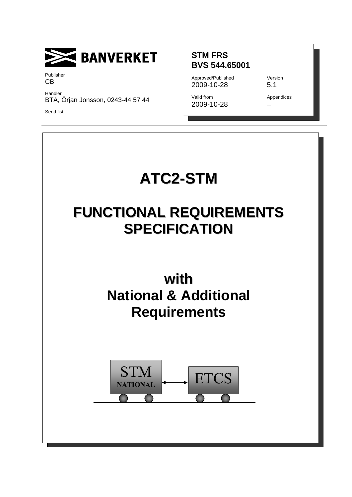

Publisher CB

Handler BTA, Örjan Jonsson, 0243-44 57 44

Send list

## **STM FRS BVS 544.65001**

Approved/Published Version 2009-10-28 5.1

Valid from Appendices 2009-10-28

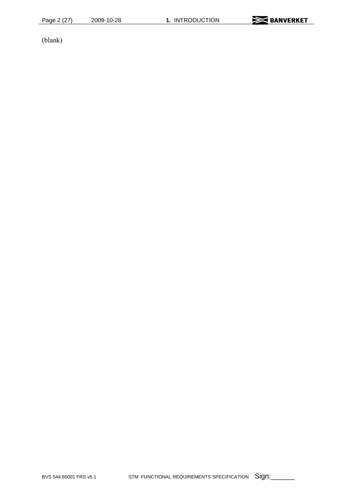

(blank)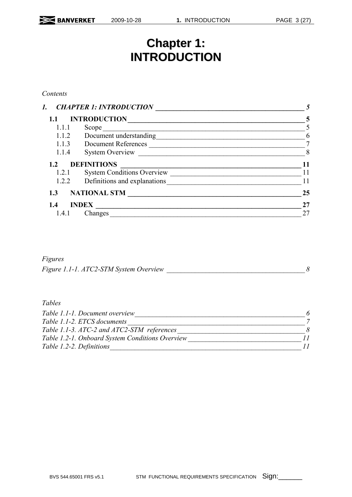# **Chapter 1: INTRODUCTION**

#### *Contents*

| <b>CHAPTER 1: INTRODUCTION</b> |                              |    |
|--------------------------------|------------------------------|----|
|                                | <b>INTRODUCTION</b>          | 5  |
| 1.1.1                          | Scope                        |    |
| 1.1.2                          | Document understanding       | 6  |
| 1.1.3                          | <b>Document References</b>   | 7  |
| 1.1.4                          | <b>System Overview</b>       | 8  |
| 1.2                            | <b>DEFINITIONS</b>           | 11 |
| 1.2.1                          | System Conditions Overview   |    |
| 1.2.2                          | Definitions and explanations |    |
| 1.3                            | <b>NATIONAL STM</b>          | 25 |
| 1.4                            | <b>INDEX</b>                 | 27 |
| 1.4.1                          | Changes                      | 27 |

#### *Figures*

| Figure 1.1-1. ATC2-STM System Overview |  |
|----------------------------------------|--|
|                                        |  |

## *Tables*

| Table 1.1-1. Document overview                  |  |
|-------------------------------------------------|--|
| Table 1.1-2. ETCS documents                     |  |
| Table 1.1-3. ATC-2 and ATC2-STM references      |  |
| Table 1.2-1. Onboard System Conditions Overview |  |
| Table 1.2-2. Definitions                        |  |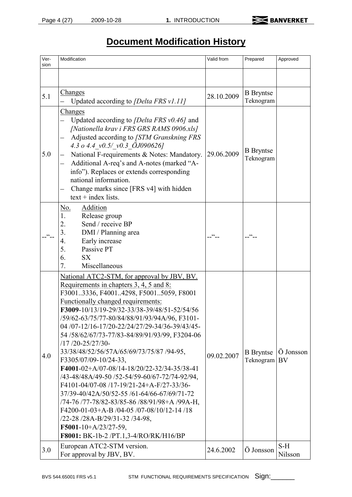# **Document Modification History**

| Ver-<br>sion | Modification                                                                                                                                                                                                                                                                                                                                                                                                                                                                                                                                                                                                                                                                                                                                                                                                                                                                                         | Valid from    | Prepared                      | Approved         |
|--------------|------------------------------------------------------------------------------------------------------------------------------------------------------------------------------------------------------------------------------------------------------------------------------------------------------------------------------------------------------------------------------------------------------------------------------------------------------------------------------------------------------------------------------------------------------------------------------------------------------------------------------------------------------------------------------------------------------------------------------------------------------------------------------------------------------------------------------------------------------------------------------------------------------|---------------|-------------------------------|------------------|
|              |                                                                                                                                                                                                                                                                                                                                                                                                                                                                                                                                                                                                                                                                                                                                                                                                                                                                                                      |               |                               |                  |
| 5.1          | <b>Changes</b><br>Updated according to <i>[Delta FRS v1.11]</i>                                                                                                                                                                                                                                                                                                                                                                                                                                                                                                                                                                                                                                                                                                                                                                                                                                      | 28.10.2009    | <b>B</b> Bryntse<br>Teknogram |                  |
| 5.0          | Changes<br>Updated according to <i>[Delta FRS v0.46]</i> and<br>[Nationella krav i FRS GRS RAMS 0906.xls]<br>Adjusted according to [STM Granskning FRS<br>4.3 o 4.4 $v0.5/v0.3$ OJ090626]<br>National F-requirements & Notes: Mandatory.<br>Additional A-req's and A-notes (marked "A-<br>info"). Replaces or extends corresponding<br>national information.<br>Change marks since [FRS v4] with hidden<br>$text + index lists.$                                                                                                                                                                                                                                                                                                                                                                                                                                                                     | 29.06.2009    | <b>B</b> Bryntse<br>Teknogram |                  |
|              | <b>Addition</b><br>No.<br>1.<br>Release group<br>Send / receive BP<br>2.<br>3.<br>DMI / Planning area<br>Early increase<br>4.<br>5.<br>Passive PT<br><b>SX</b><br>6.<br>7.<br>Miscellaneous                                                                                                                                                                                                                                                                                                                                                                                                                                                                                                                                                                                                                                                                                                          | $\frac{1}{2}$ |                               |                  |
| 4.0          | National ATC2-STM, for approval by JBV, BV.<br>Requirements in chapters 3, 4, 5 and 8:<br>F30013336, F40014298, F50015059, F8001<br><b>Functionally changed requirements:</b><br>F3009-10/13/19-29/32-33/38-39/48/51-52/54/56<br>/59/62-63/75/77-80/84/88/91/93/94A/96, F3101-<br>04/07-12/16-17/20-22/24/27/29-34/36-39/43/45-<br>54 / 58 / 62 / 67 / 73 - 77 / 83 - 84 / 89 / 91 / 93 / 99, F3 204 - 06<br>$/17/20 - 25/27/30$<br>33/38/48/52/56/57A/65/69/73/75/87 /94-95,<br>F3305/07/09-10/24-33,<br>F4001-02+A/07-08/14-18/20/22-32/34-35/38-41<br>/43-48/48A/49-50 /52-54/59-60/67-72/74-92/94,<br>F4101-04/07-08 /17-19/21-24+A-F/27-33/36-<br>37/39-40/42A/50/52-55 /61-64/66-67/69/71-72<br>/74-76 /77-78/82-83/85-86 /88/91/98+A /99A-H,<br>F4200-01-03+A-B /04-05 /07-08/10/12-14 /18<br>/22-28 /28A-B/29/31-32 /34-98,<br>F5001-10+A/23/27-59,<br>F8001: BK-1b-2 /PT.1,3-4/RO/RK/H16/BP | 09.02.2007    | <b>B</b> Bryntse<br>Teknogram | Ö Jonsson<br>BV  |
| 3.0          | European ATC2-STM version.<br>For approval by JBV, BV.                                                                                                                                                                                                                                                                                                                                                                                                                                                                                                                                                                                                                                                                                                                                                                                                                                               | 24.6.2002     | Ö Jonsson                     | $S-H$<br>Nilsson |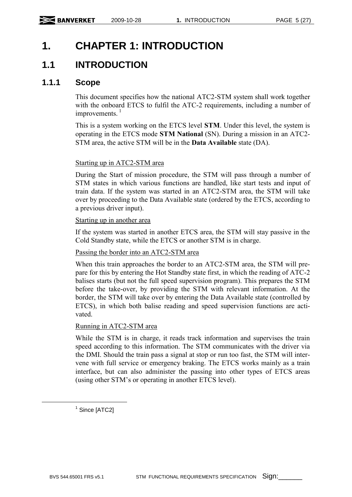# <span id="page-4-0"></span>**1. CHAPTER 1: INTRODUCTION**

# <span id="page-4-1"></span>**1.1 INTRODUCTION**

## <span id="page-4-2"></span>**1.1.1 Scope**

This document specifies how the national ATC2-STM system shall work together with the onboard ETCS to fulfil the ATC-2 requirements, including a number of improvements.<sup>1</sup>

This is a system working on the ETCS level **STM**. Under this level, the system is operating in the ETCS mode **STM National** (SN). During a mission in an ATC2- STM area, the active STM will be in the **Data Available** state (DA).

### Starting up in ATC2-STM area

During the Start of mission procedure, the STM will pass through a number of STM states in which various functions are handled, like start tests and input of train data. If the system was started in an ATC2-STM area, the STM will take over by proceeding to the Data Available state (ordered by the ETCS, according to a previous driver input).

### Starting up in another area

If the system was started in another ETCS area, the STM will stay passive in the Cold Standby state, while the ETCS or another STM is in charge.

#### Passing the border into an ATC2-STM area

When this train approaches the border to an ATC2-STM area, the STM will prepare for this by entering the Hot Standby state first, in which the reading of ATC-2 balises starts (but not the full speed supervision program). This prepares the STM before the take-over, by providing the STM with relevant information. At the border, the STM will take over by entering the Data Available state (controlled by ETCS), in which both balise reading and speed supervision functions are activated.

#### Running in ATC2-STM area

While the STM is in charge, it reads track information and supervises the train speed according to this information. The STM communicates with the driver via the DMI. Should the train pass a signal at stop or run too fast, the STM will intervene with full service or emergency braking. The ETCS works mainly as a train interface, but can also administer the passing into other types of ETCS areas (using other STM's or operating in another ETCS level).

<sup>1</sup> Since [ATC2]

 $\overline{a}$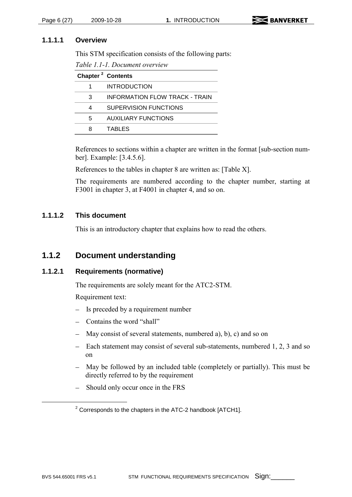#### **1.1.1.1 Overview**

This STM specification consists of the following parts:

<span id="page-5-1"></span>*Table 1.1-1. Document overview*

| Chapter <sup>2</sup> Contents |                                       |
|-------------------------------|---------------------------------------|
|                               | <b>INTRODUCTION</b>                   |
| 3                             | <b>INFORMATION FLOW TRACK - TRAIN</b> |
| 4                             | SUPERVISION FUNCTIONS                 |
| 5                             | AUXILIARY FUNCTIONS                   |
|                               | <b>TABLES</b>                         |

References to sections within a chapter are written in the format [sub-section number]. Example: [3.4.5.6].

References to the tables in chapter 8 are written as: [Table X].

The requirements are numbered according to the chapter number, starting at F3001 in chapter 3, at F4001 in chapter 4, and so on.

### **1.1.1.2 This document**

This is an introductory chapter that explains how to read the others.

## <span id="page-5-0"></span>**1.1.2 Document understanding**

### **1.1.2.1 Requirements (normative)**

The requirements are solely meant for the ATC2-STM.

Requirement text:

- Is preceded by a requirement number
- Contains the word "shall"
- May consist of several statements, numbered a), b), c) and so on
- Each statement may consist of several sub-statements, numbered 1, 2, 3 and so on
- May be followed by an included table (completely or partially). This must be directly referred to by the requirement
- Should only occur once in the FRS

 $\overline{a}$ 

 $2$  Corresponds to the chapters in the ATC-2 handbook [ATCH1].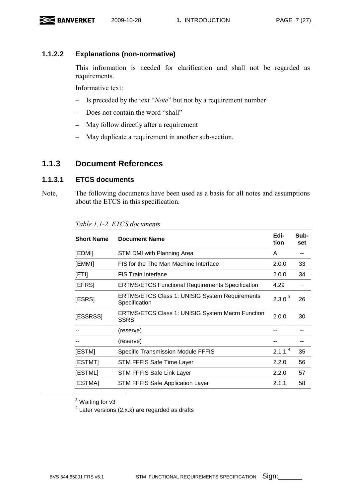## **1.1.2.2 Explanations (non-normative)**

This information is needed for clarification and shall not be regarded as requirements.

Informative text:

- Is preceded by the text "*Note*" but not by a requirement number
- Does not contain the word "shall"
- May follow directly after a requirement
- May duplicate a requirement in another sub-section.

## <span id="page-6-0"></span>**1.1.3 Document References**

## **1.1.3.1 ETCS documents**

Note, The following documents have been used as a basis for all notes and assumptions about the ETCS in this specification.

<span id="page-6-1"></span>*Table 1.1-2. ETCS documents* 

| <b>Short Name</b> | <b>Document Name</b>                                                   | Edi-<br>tion       | Sub-<br>set |
|-------------------|------------------------------------------------------------------------|--------------------|-------------|
| [EDMI]            | STM DMI with Planning Area                                             | A                  |             |
| [EMMI]            | FIS for the The Man Machine Interface                                  | 2.0.0              | 33          |
| [ET]              | <b>FIS Train Interface</b>                                             | 2.0.0              | 34          |
| [EFRS]            | <b>ERTMS/ETCS Functional Requirements Specification</b>                | 4.29               |             |
| [ESRS]            | <b>ERTMS/ETCS Class 1: UNISIG System Requirements</b><br>Specification | 2.3.0 <sup>3</sup> | 26          |
| [ESSRSS]          | <b>ERTMS/ETCS Class 1: UNISIG System Macro Function</b><br><b>SSRS</b> | 2.0.0              | 30          |
|                   | (reserve)                                                              |                    |             |
|                   | (reserve)                                                              | --                 |             |
| [ESTM]            | <b>Specific Transmission Module FFFIS</b>                              | 2.1.1 <sup>4</sup> | 35          |
| [ESTMT]           | STM FFFIS Safe Time Layer                                              | 2.2.0              | 56          |
| [ESTML]           | <b>STM FFFIS Safe Link Layer</b>                                       | 2.2.0              | 57          |
| [ESTMA]           | <b>STM FFFIS Safe Application Layer</b>                                | 2.1.1              | 58          |

<sup>3</sup> Waiting for v3

 $4$  Later versions (2.x.x) are regarded as drafts

 $\overline{a}$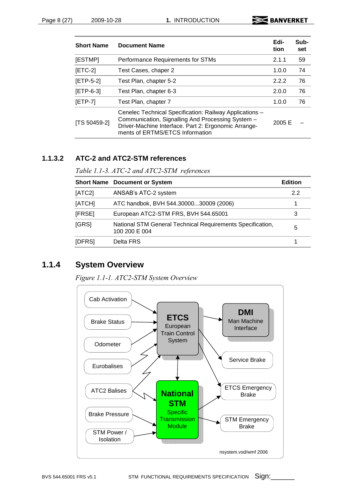| <b>Short Name</b> | <b>Document Name</b>                                                                                                                                                                                    | Edi-<br>tion | Sub-<br>set |
|-------------------|---------------------------------------------------------------------------------------------------------------------------------------------------------------------------------------------------------|--------------|-------------|
| [ESTMP]           | Performance Requirements for STMs                                                                                                                                                                       | 2.1.1        | 59          |
| $[ETC-2]$         | Test Cases, chaper 2                                                                                                                                                                                    | 1.0.0        | 74          |
| $[ETP-5-2]$       | Test Plan, chapter 5-2                                                                                                                                                                                  | 2.2.2        | 76          |
| $[ETP-6-3]$       | Test Plan, chapter 6-3                                                                                                                                                                                  | 2.0.0        | 76          |
| $[ETP-7]$         | Test Plan, chapter 7                                                                                                                                                                                    | 1.0.0        | 76          |
| $[TS 50459-2]$    | Cenelec Technical Specification: Railway Applications -<br>Communication, Signalling And Processing System -<br>Driver-Machine Interface. Part 2: Ergonomic Arrange-<br>ments of ERTMS/ETCS Information | 2005 E       |             |

## **1.1.3.2 ATC-2 and ATC2-STM references**

<span id="page-7-2"></span>*Table 1.1-3. ATC-2 and ATC2-STM references*

|        | <b>Short Name</b> Document or System                                        | <b>Edition</b> |
|--------|-----------------------------------------------------------------------------|----------------|
| [ATC2] | ANSAB's ATC-2 system                                                        | 2.2            |
| [ATCH] | ATC handbok, BVH 544.3000030009 (2006)                                      |                |
| [FRSE] | European ATC2-STM FRS, BVH 544.65001                                        | 3              |
| [GRS]  | National STM General Technical Requirements Specification,<br>100 200 E 004 | 5              |
| [DFRS] | Delta FRS                                                                   |                |

## <span id="page-7-0"></span>**1.1.4 System Overview**

<span id="page-7-1"></span>*Figure 1.1-1. ATC2-STM System Overview*

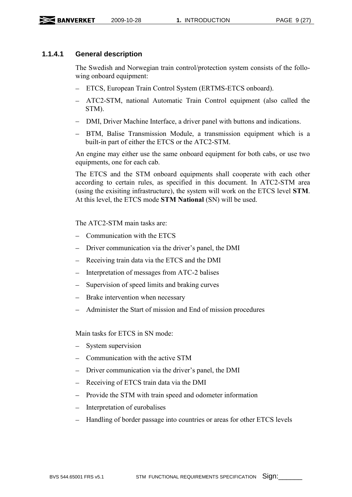### **1.1.4.1 General description**

The Swedish and Norwegian train control/protection system consists of the following onboard equipment:

- ETCS, European Train Control System (ERTMS-ETCS onboard).
- ATC2-STM, national Automatic Train Control equipment (also called the STM).
- DMI, Driver Machine Interface, a driver panel with buttons and indications.
- BTM, Balise Transmission Module, a transmission equipment which is a built-in part of either the ETCS or the ATC2-STM.

An engine may either use the same onboard equipment for both cabs, or use two equipments, one for each cab.

The ETCS and the STM onboard equipments shall cooperate with each other according to certain rules, as specified in this document. In ATC2-STM area (using the exisiting infrastructure), the system will work on the ETCS level **STM**. At this level, the ETCS mode **STM National** (SN) will be used.

The ATC2-STM main tasks are:

- Communication with the ETCS
- Driver communication via the driver's panel, the DMI
- Receiving train data via the ETCS and the DMI
- Interpretation of messages from ATC-2 balises
- Supervision of speed limits and braking curves
- Brake intervention when necessary
- Administer the Start of mission and End of mission procedures

Main tasks for ETCS in SN mode:

- System supervision  $\frac{1}{2}$
- Communication with the active STM
- Driver communication via the driver's panel, the DMI
- Receiving of ETCS train data via the DMI
- Provide the STM with train speed and odometer information
- Interpretation of eurobalises
- Handling of border passage into countries or areas for other ETCS levels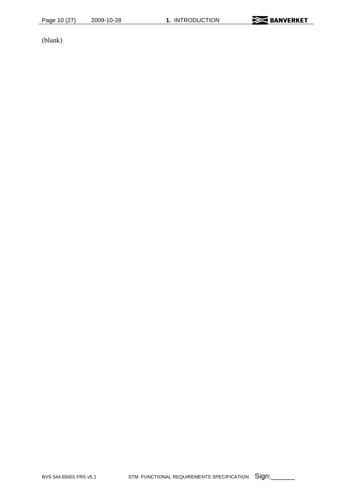

(blank)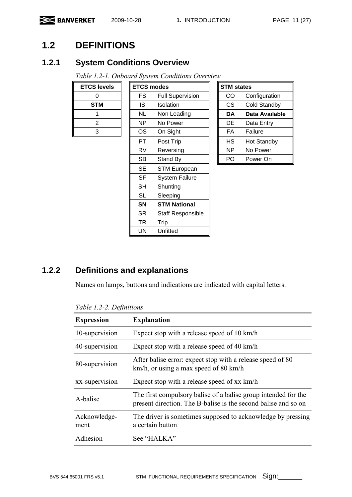# <span id="page-10-0"></span>**1.2 DEFINITIONS**

## <span id="page-10-1"></span>**1.2.1 System Conditions Overview**

<span id="page-10-3"></span>*Table 1.2-1. Onboard System Conditions Overview*

| <b>ETCS levels</b> |
|--------------------|
| 0                  |
| <b>STM</b>         |
|                    |
| 2                  |
| 3                  |

| <b>ETCS levels</b> | <b>ETCS modes</b> |                          | <b>STM states</b> |                    |
|--------------------|-------------------|--------------------------|-------------------|--------------------|
| 0                  | FS.               | <b>Full Supervision</b>  | CO                | Configuration      |
| <b>STM</b>         | IS.               | <b>Isolation</b>         | CS                | Cold Standby       |
| 1                  | NL                | Non Leading              | DA                | Data Available     |
| $\overline{2}$     | NP.               | No Power                 | DE                | Data Entry         |
| 3                  | OS.               | On Sight                 | FA                | Failure            |
|                    | <b>PT</b>         | Post Trip                | HS.               | <b>Hot Standby</b> |
|                    | <b>RV</b>         | Reversing                | NP.               | No Power           |
|                    | SB                | Stand By                 | PO.               | Power On           |
|                    | <b>SE</b>         | <b>STM European</b>      |                   |                    |
|                    | <b>SF</b>         | <b>System Failure</b>    |                   |                    |
|                    | <b>SH</b>         | Shunting                 |                   |                    |
|                    | <b>SL</b>         | Sleeping                 |                   |                    |
|                    | SN                | <b>STM National</b>      |                   |                    |
|                    | SR                | <b>Staff Responsible</b> |                   |                    |
|                    | TR                | Trip                     |                   |                    |
|                    | UN                | Unfitted                 |                   |                    |
|                    |                   |                          |                   |                    |

| <b>STM states</b> |                     |  |
|-------------------|---------------------|--|
| CO                | Configuration       |  |
| CS                | <b>Cold Standby</b> |  |
| DΑ                | Data Available      |  |
| DE                | Data Entry          |  |
| FA                | Failure             |  |
| НS                | Hot Standby         |  |
| ΝP                | No Power            |  |
| PΩ                | Power On            |  |

## <span id="page-10-2"></span>**1.2.2 Definitions and explanations**

Names on lamps, buttons and indications are indicated with capital letters.

| <b>Expression</b>    | <b>Explanation</b>                                                                                                               |
|----------------------|----------------------------------------------------------------------------------------------------------------------------------|
| 10-supervision       | Expect stop with a release speed of 10 km/h                                                                                      |
| 40-supervision       | Expect stop with a release speed of 40 km/h                                                                                      |
| 80-supervision       | After balise error: expect stop with a release speed of 80<br>km/h, or using a max speed of 80 km/h                              |
| xx-supervision       | Expect stop with a release speed of xx km/h                                                                                      |
| A-balise             | The first compulsory balise of a balise group intended for the<br>present direction. The B-balise is the second balise and so on |
| Acknowledge-<br>ment | The driver is sometimes supposed to acknowledge by pressing<br>a certain button                                                  |
| Adhesion             | See "HALKA"                                                                                                                      |

<span id="page-10-4"></span>*Table 1.2-2. Definitions*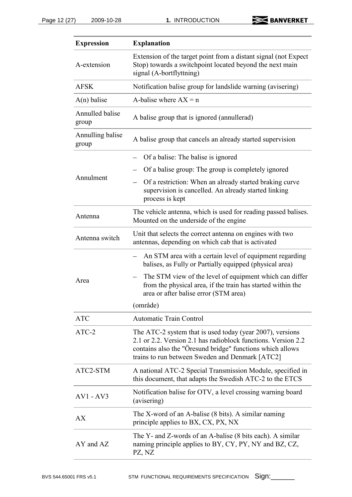| <b>Expression</b>         | <b>Explanation</b>                                                                                                                                                                                                                            |
|---------------------------|-----------------------------------------------------------------------------------------------------------------------------------------------------------------------------------------------------------------------------------------------|
| A-extension               | Extension of the target point from a distant signal (not Expect)<br>Stop) towards a switchpoint located beyond the next main<br>signal (A-bortflyttning)                                                                                      |
| <b>AFSK</b>               | Notification balise group for landslide warning (avisering)                                                                                                                                                                                   |
| $A(n)$ balise             | A-balise where $AX = n$                                                                                                                                                                                                                       |
| Annulled balise<br>group  | A balise group that is ignored (annullerad)                                                                                                                                                                                                   |
| Annulling balise<br>group | A balise group that cancels an already started supervision                                                                                                                                                                                    |
|                           | Of a balise: The balise is ignored                                                                                                                                                                                                            |
|                           | Of a balise group: The group is completely ignored                                                                                                                                                                                            |
| Annulment                 | Of a restriction: When an already started braking curve<br>supervision is cancelled. An already started linking<br>process is kept                                                                                                            |
| Antenna                   | The vehicle antenna, which is used for reading passed balises.<br>Mounted on the underside of the engine                                                                                                                                      |
| Antenna switch            | Unit that selects the correct antenna on engines with two<br>antennas, depending on which cab that is activated                                                                                                                               |
|                           | An STM area with a certain level of equipment regarding<br>balises, as Fully or Partially equipped (physical area)                                                                                                                            |
| Area                      | The STM view of the level of equipment which can differ<br>from the physical area, if the train has started within the<br>area or after balise error (STM area)                                                                               |
|                           | (område)                                                                                                                                                                                                                                      |
| <b>ATC</b>                | <b>Automatic Train Control</b>                                                                                                                                                                                                                |
| $ATC-2$                   | The ATC-2 system that is used today (year $2007$ ), versions<br>2.1 or 2.2. Version 2.1 has radioblock functions. Version 2.2<br>contains also the "Öresund bridge" functions which allows<br>trains to run between Sweden and Denmark [ATC2] |
| ATC2-STM                  | A national ATC-2 Special Transmission Module, specified in<br>this document, that adapts the Swedish ATC-2 to the ETCS                                                                                                                        |
| $AV1 - AV3$               | Notification balise for OTV, a level crossing warning board<br>(avisering)                                                                                                                                                                    |
| AX                        | The X-word of an A-balise (8 bits). A similar naming<br>principle applies to BX, CX, PX, NX                                                                                                                                                   |
| AY and AZ                 | The Y- and Z-words of an A-balise (8 bits each). A similar<br>naming principle applies to BY, CY, PY, NY and BZ, CZ,<br>PZ, NZ                                                                                                                |
|                           |                                                                                                                                                                                                                                               |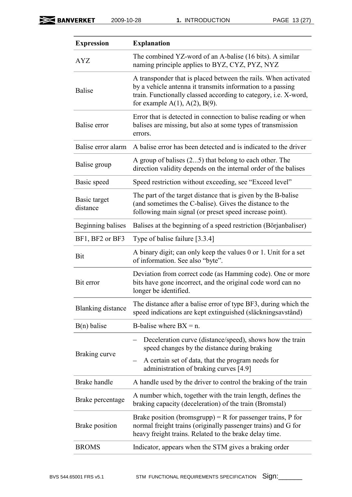| <b>Expression</b>        | <b>Explanation</b>                                                                                                                                                                                                                        |
|--------------------------|-------------------------------------------------------------------------------------------------------------------------------------------------------------------------------------------------------------------------------------------|
| <b>AYZ</b>               | The combined YZ-word of an A-balise (16 bits). A similar<br>naming principle applies to BYZ, CYZ, PYZ, NYZ                                                                                                                                |
| <b>Balise</b>            | A transponder that is placed between the rails. When activated<br>by a vehicle antenna it transmits information to a passing<br>train. Functionally classed according to category, i.e. X-word,<br>for example $A(1)$ , $A(2)$ , $B(9)$ . |
| Balise error             | Error that is detected in connection to balise reading or when<br>balises are missing, but also at some types of transmission<br>errors.                                                                                                  |
| Balise error alarm       | A balise error has been detected and is indicated to the driver                                                                                                                                                                           |
| Balise group             | A group of balises $(25)$ that belong to each other. The<br>direction validity depends on the internal order of the balises                                                                                                               |
| Basic speed              | Speed restriction without exceeding, see "Exceed level"                                                                                                                                                                                   |
| Basic target<br>distance | The part of the target distance that is given by the B-balise<br>(and sometimes the C-balise). Gives the distance to the<br>following main signal (or preset speed increase point).                                                       |
| Beginning balises        | Balises at the beginning of a speed restriction (Börjanbaliser)                                                                                                                                                                           |
| BF1, BF2 or BF3          | Type of balise failure [3.3.4]                                                                                                                                                                                                            |
| Bit                      | A binary digit; can only keep the values 0 or 1. Unit for a set<br>of information. See also "byte".                                                                                                                                       |
| Bit error                | Deviation from correct code (as Hamming code). One or more<br>bits have gone incorrect, and the original code word can no<br>longer be identified.                                                                                        |
| <b>Blanking distance</b> | The distance after a balise error of type BF3, during which the<br>speed indications are kept extinguished (släckningsavstånd)                                                                                                            |
| $B(n)$ balise            | B-balise where $BX = n$ .                                                                                                                                                                                                                 |
| Braking curve            | Deceleration curve (distance/speed), shows how the train<br>speed changes by the distance during braking                                                                                                                                  |
|                          | A certain set of data, that the program needs for<br>administration of braking curves [4.9]                                                                                                                                               |
| Brake handle             | A handle used by the driver to control the braking of the train                                                                                                                                                                           |
| Brake percentage         | A number which, together with the train length, defines the<br>braking capacity (deceleration) of the train (Bromstal)                                                                                                                    |
| Brake position           | Brake position (bromsgrupp) = R for passenger trains, P for<br>normal freight trains (originally passenger trains) and G for<br>heavy freight trains. Related to the brake delay time.                                                    |
| <b>BROMS</b>             | Indicator, appears when the STM gives a braking order                                                                                                                                                                                     |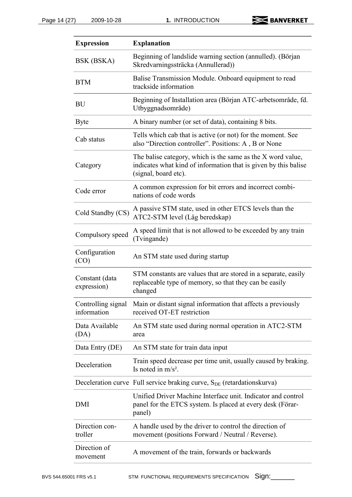| <b>Expression</b>                 | <b>Explanation</b>                                                                                                                                     |
|-----------------------------------|--------------------------------------------------------------------------------------------------------------------------------------------------------|
| BSK (BSKA)                        | Beginning of landslide warning section (annulled). (Början<br>Skredvarningssträcka (Annullerad))                                                       |
| <b>BTM</b>                        | Balise Transmission Module. Onboard equipment to read<br>trackside information                                                                         |
| <b>BU</b>                         | Beginning of Installation area (Början ATC-arbetsområde, fd.<br>Utbyggnadsområde)                                                                      |
| <b>Byte</b>                       | A binary number (or set of data), containing 8 bits.                                                                                                   |
| Cab status                        | Tells which cab that is active (or not) for the moment. See<br>also "Direction controller". Positions: A, B or None                                    |
| Category                          | The balise category, which is the same as the X word value,<br>indicates what kind of information that is given by this balise<br>(signal, board etc). |
| Code error                        | A common expression for bit errors and incorrect combi-<br>nations of code words                                                                       |
| Cold Standby (CS)                 | A passive STM state, used in other ETCS levels than the<br>ATC2-STM level (Låg beredskap)                                                              |
| Compulsory speed                  | A speed limit that is not allowed to be exceeded by any train<br>(Tvingande)                                                                           |
| Configuration<br>(CO)             | An STM state used during startup                                                                                                                       |
| Constant (data<br>expression)     | STM constants are values that are stored in a separate, easily<br>replaceable type of memory, so that they can be easily<br>changed                    |
| Controlling signal<br>information | Main or distant signal information that affects a previously<br>received OT-ET restriction                                                             |
| Data Available<br>(DA)            | An STM state used during normal operation in ATC2-STM<br>area                                                                                          |
| Data Entry (DE)                   | An STM state for train data input                                                                                                                      |
| Deceleration                      | Train speed decrease per time unit, usually caused by braking.<br>Is noted in $m/s^2$ .                                                                |
|                                   | Deceleration curve Full service braking curve, $S_{DE}$ (retardations kurva)                                                                           |
| DMI                               | Unified Driver Machine Interface unit. Indicator and control<br>panel for the ETCS system. Is placed at every desk (Förar-<br>panel)                   |
| Direction con-<br>troller         | A handle used by the driver to control the direction of<br>movement (positions Forward / Neutral / Reverse).                                           |
| Direction of<br>movement          | A movement of the train, forwards or backwards                                                                                                         |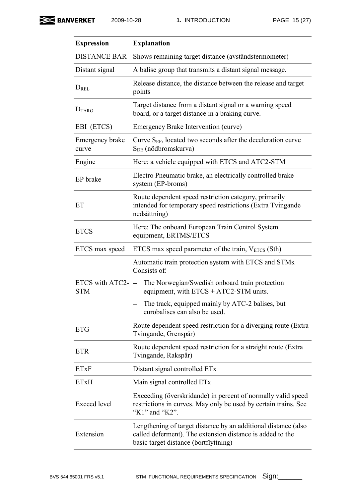| <b>Expression</b>                 | <b>Explanation</b>                                                                                                                                                   |
|-----------------------------------|----------------------------------------------------------------------------------------------------------------------------------------------------------------------|
| <b>DISTANCE BAR</b>               | Shows remaining target distance (avståndstermometer)                                                                                                                 |
| Distant signal                    | A balise group that transmits a distant signal message.                                                                                                              |
| $D_{REL}$                         | Release distance, the distance between the release and target<br>points                                                                                              |
| $D_{TARG}$                        | Target distance from a distant signal or a warning speed<br>board, or a target distance in a braking curve.                                                          |
| EBI (ETCS)                        | Emergency Brake Intervention (curve)                                                                                                                                 |
| Emergency brake<br>curve          | Curve $S_{EF}$ , located two seconds after the deceleration curve<br>$S_{DE}$ (nödbromskurva)                                                                        |
| Engine                            | Here: a vehicle equipped with ETCS and ATC2-STM                                                                                                                      |
| EP brake                          | Electro Pneumatic brake, an electrically controlled brake<br>system (EP-broms)                                                                                       |
| ET                                | Route dependent speed restriction category, primarily<br>intended for temporary speed restrictions (Extra Tvingande<br>nedsättning)                                  |
| <b>ETCS</b>                       | Here: The onboard European Train Control System<br>equipment, ERTMS/ETCS                                                                                             |
| ETCS max speed                    | ETCS max speed parameter of the train, $V_{ETCS}$ (Sth)                                                                                                              |
|                                   | Automatic train protection system with ETCS and STMs.<br>Consists of:                                                                                                |
| ETCS with ATC2- $-$<br><b>STM</b> | The Norwegian/Swedish onboard train protection<br>equipment, with $ETCS + ATC2-STM$ units.                                                                           |
|                                   | The track, equipped mainly by ATC-2 balises, but<br>eurobalises can also be used.                                                                                    |
| <b>ETG</b>                        | Route dependent speed restriction for a diverging route (Extra<br>Tvingande, Grenspår)                                                                               |
| <b>ETR</b>                        | Route dependent speed restriction for a straight route (Extra<br>Tvingande, Rakspår)                                                                                 |
| <b>ETxF</b>                       | Distant signal controlled ETx                                                                                                                                        |
| <b>ETxH</b>                       | Main signal controlled ETx                                                                                                                                           |
| Exceed level                      | Exceeding (överskridande) in percent of normally valid speed<br>restrictions in curves. May only be used by certain trains. See<br>"K1" and "K2".                    |
| Extension                         | Lengthening of target distance by an additional distance (also<br>called deferment). The extension distance is added to the<br>basic target distance (bortflyttning) |
|                                   |                                                                                                                                                                      |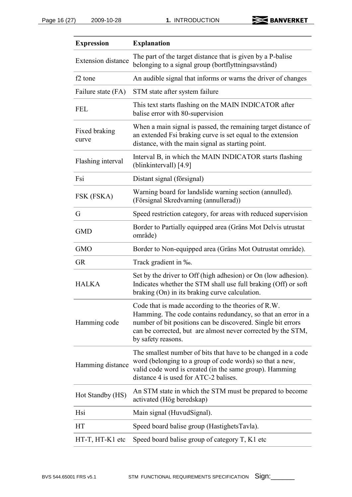| <b>Expression</b>         | <b>Explanation</b>                                                                                                                                                                                                                                                        |
|---------------------------|---------------------------------------------------------------------------------------------------------------------------------------------------------------------------------------------------------------------------------------------------------------------------|
| <b>Extension</b> distance | The part of the target distance that is given by a P-balise<br>belonging to a signal group (bortflyttningsavstånd)                                                                                                                                                        |
| f <sub>2</sub> tone       | An audible signal that informs or warns the driver of changes                                                                                                                                                                                                             |
| Failure state (FA)        | STM state after system failure                                                                                                                                                                                                                                            |
| <b>FEL</b>                | This text starts flashing on the MAIN INDICATOR after<br>balise error with 80-supervision                                                                                                                                                                                 |
| Fixed braking<br>curve    | When a main signal is passed, the remaining target distance of<br>an extended Fsi braking curve is set equal to the extension<br>distance, with the main signal as starting point.                                                                                        |
| Flashing interval         | Interval B, in which the MAIN INDICATOR starts flashing<br>(blinkintervall) [4.9]                                                                                                                                                                                         |
| Fsi                       | Distant signal (försignal)                                                                                                                                                                                                                                                |
| FSK (FSKA)                | Warning board for landslide warning section (annulled).<br>(Försignal Skredvarning (annullerad))                                                                                                                                                                          |
| G                         | Speed restriction category, for areas with reduced supervision                                                                                                                                                                                                            |
| <b>GMD</b>                | Border to Partially equipped area (Gräns Mot Delvis utrustat<br>område)                                                                                                                                                                                                   |
| <b>GMO</b>                | Border to Non-equipped area (Gräns Mot Outrustat område).                                                                                                                                                                                                                 |
| <b>GR</b>                 | Track gradient in ‰.                                                                                                                                                                                                                                                      |
| <b>HALKA</b>              | Set by the driver to Off (high adhesion) or On (low adhesion).<br>Indicates whether the STM shall use full braking (Off) or soft<br>braking (On) in its braking curve calculation.                                                                                        |
| Hamming code              | Code that is made according to the theories of R.W.<br>Hamming. The code contains redundancy, so that an error in a<br>number of bit positions can be discovered. Single bit errors<br>can be corrected, but are almost never corrected by the STM,<br>by safety reasons. |
| Hamming distance          | The smallest number of bits that have to be changed in a code<br>word (belonging to a group of code words) so that a new,<br>valid code word is created (in the same group). Hamming<br>distance 4 is used for ATC-2 balises.                                             |
| Hot Standby (HS)          | An STM state in which the STM must be prepared to become<br>activated (Hög beredskap)                                                                                                                                                                                     |
| Hsi                       | Main signal (HuvudSignal).                                                                                                                                                                                                                                                |
| HT                        | Speed board balise group (HastighetsTavla).                                                                                                                                                                                                                               |
| HT-T, HT-K1 etc           | Speed board balise group of category T, K1 etc                                                                                                                                                                                                                            |
|                           |                                                                                                                                                                                                                                                                           |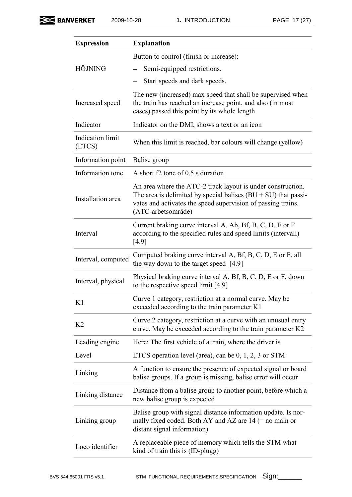| <b>Expression</b>          | <b>Explanation</b>                                                                                                                                                                                                    |
|----------------------------|-----------------------------------------------------------------------------------------------------------------------------------------------------------------------------------------------------------------------|
| <b>HÖJNING</b>             | Button to control (finish or increase):                                                                                                                                                                               |
|                            | Semi-equipped restrictions.                                                                                                                                                                                           |
|                            | Start speeds and dark speeds.                                                                                                                                                                                         |
| Increased speed            | The new (increased) max speed that shall be supervised when<br>the train has reached an increase point, and also (in most<br>cases) passed this point by its whole length                                             |
| Indicator                  | Indicator on the DMI, shows a text or an icon                                                                                                                                                                         |
| Indication limit<br>(ETCS) | When this limit is reached, bar colours will change (yellow)                                                                                                                                                          |
| Information point          | Balise group                                                                                                                                                                                                          |
| Information tone           | A short $f2$ tone of 0.5 s duration                                                                                                                                                                                   |
| Installation area          | An area where the ATC-2 track layout is under construction.<br>The area is delimited by special balises $(BU + SU)$ that passi-<br>vates and activates the speed supervision of passing trains.<br>(ATC-arbetsområde) |
| Interval                   | Current braking curve interval A, Ab, Bf, B, C, D, E or F<br>according to the specified rules and speed limits (intervall)<br>[4.9]                                                                                   |
| Interval, computed         | Computed braking curve interval A, Bf, B, C, D, E or F, all<br>the way down to the target speed [4.9]                                                                                                                 |
| Interval, physical         | Physical braking curve interval A, Bf, B, C, D, E or F, down<br>to the respective speed limit $[4.9]$                                                                                                                 |
| K1                         | Curve 1 category, restriction at a normal curve. May be<br>exceeded according to the train parameter K1                                                                                                               |
| K <sub>2</sub>             | Curve 2 category, restriction at a curve with an unusual entry<br>curve. May be exceeded according to the train parameter K2                                                                                          |
| Leading engine             | Here: The first vehicle of a train, where the driver is                                                                                                                                                               |
| Level                      | ETCS operation level (area), can be $0, 1, 2, 3$ or STM                                                                                                                                                               |
| Linking                    | A function to ensure the presence of expected signal or board<br>balise groups. If a group is missing, balise error will occur                                                                                        |
| Linking distance           | Distance from a balise group to another point, before which a<br>new balise group is expected                                                                                                                         |
| Linking group              | Balise group with signal distance information update. Is nor-<br>mally fixed coded. Both AY and AZ are $14$ (= no main or<br>distant signal information)                                                              |
| Loco identifier            | A replaceable piece of memory which tells the STM what<br>kind of train this is (ID-plugg)                                                                                                                            |
|                            |                                                                                                                                                                                                                       |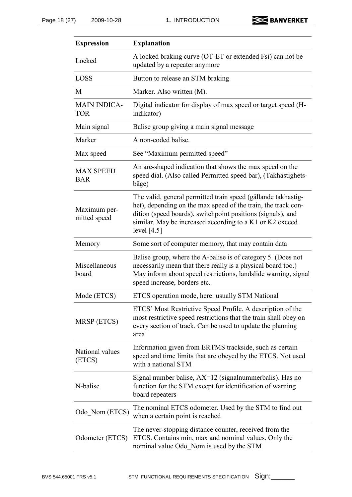| <b>Expression</b>                 | <b>Explanation</b>                                                                                                                                                                                                                                                         |
|-----------------------------------|----------------------------------------------------------------------------------------------------------------------------------------------------------------------------------------------------------------------------------------------------------------------------|
| Locked                            | A locked braking curve (OT-ET or extended Fsi) can not be<br>updated by a repeater anymore                                                                                                                                                                                 |
| <b>LOSS</b>                       | Button to release an STM braking                                                                                                                                                                                                                                           |
| M                                 | Marker. Also written (M).                                                                                                                                                                                                                                                  |
| <b>MAIN INDICA-</b><br><b>TOR</b> | Digital indicator for display of max speed or target speed (H-<br>indikator)                                                                                                                                                                                               |
| Main signal                       | Balise group giving a main signal message                                                                                                                                                                                                                                  |
| Marker                            | A non-coded balise.                                                                                                                                                                                                                                                        |
| Max speed                         | See "Maximum permitted speed"                                                                                                                                                                                                                                              |
| <b>MAX SPEED</b><br><b>BAR</b>    | An arc-shaped indication that shows the max speed on the<br>speed dial. (Also called Permitted speed bar), (Takhastighets-<br>båge)                                                                                                                                        |
| Maximum per-<br>mitted speed      | The valid, general permitted train speed (gällande takhastig-<br>het), depending on the max speed of the train, the track con-<br>dition (speed boards), switchpoint positions (signals), and<br>similar. May be increased according to a K1 or K2 exceed<br>level $[4.5]$ |
| Memory                            | Some sort of computer memory, that may contain data                                                                                                                                                                                                                        |
| Miscellaneous<br>board            | Balise group, where the A-balise is of category 5. (Does not<br>necessarily mean that there really is a physical board too.)<br>May inform about speed restrictions, landslide warning, signal<br>speed increase, borders etc.                                             |
| Mode (ETCS)                       | ETCS operation mode, here: usually STM National                                                                                                                                                                                                                            |
| MRSP (ETCS)                       | ETCS' Most Restrictive Speed Profile. A description of the<br>most restrictive speed restrictions that the train shall obey on<br>every section of track. Can be used to update the planning<br>area                                                                       |
| National values<br>(ETCS)         | Information given from ERTMS trackside, such as certain<br>speed and time limits that are obeyed by the ETCS. Not used<br>with a national STM                                                                                                                              |
| N-balise                          | Signal number balise, AX=12 (signalnummerbalis). Has no<br>function for the STM except for identification of warning<br>board repeaters                                                                                                                                    |
| Odo Nom (ETCS)                    | The nominal ETCS odometer. Used by the STM to find out<br>when a certain point is reached                                                                                                                                                                                  |
| Odometer (ETCS)                   | The never-stopping distance counter, received from the<br>ETCS. Contains min, max and nominal values. Only the<br>nominal value Odo Nom is used by the STM                                                                                                                 |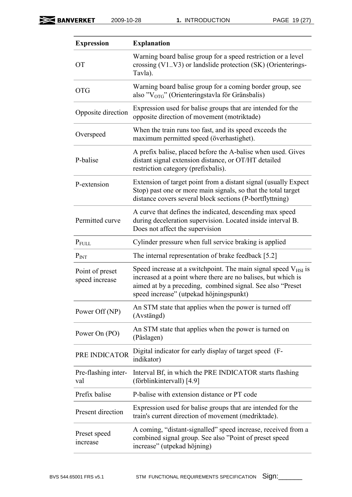| <b>Expression</b>                 | <b>Explanation</b>                                                                                                                                                                                                                                    |
|-----------------------------------|-------------------------------------------------------------------------------------------------------------------------------------------------------------------------------------------------------------------------------------------------------|
| <b>OT</b>                         | Warning board balise group for a speed restriction or a level<br>crossing (V1.V3) or landslide protection (SK) (Orienterings-<br>Tavla).                                                                                                              |
| <b>OTG</b>                        | Warning board balise group for a coming border group, see<br>also "V <sub>OTG</sub> " (Orienteringstavla för Gränsbalis)                                                                                                                              |
| Opposite direction                | Expression used for balise groups that are intended for the<br>opposite direction of movement (motriktade)                                                                                                                                            |
| Overspeed                         | When the train runs too fast, and its speed exceeds the<br>maximum permitted speed (överhastighet).                                                                                                                                                   |
| P-balise                          | A prefix balise, placed before the A-balise when used. Gives<br>distant signal extension distance, or OT/HT detailed<br>restriction category (prefixbalis).                                                                                           |
| P-extension                       | Extension of target point from a distant signal (usually Expect<br>Stop) past one or more main signals, so that the total target<br>distance covers several block sections (P-bortflyttning)                                                          |
| Permitted curve                   | A curve that defines the indicated, descending max speed<br>during deceleration supervision. Located inside interval B.<br>Does not affect the supervision                                                                                            |
| $P_{\text{FULL}}$                 | Cylinder pressure when full service braking is applied                                                                                                                                                                                                |
| $P_{INT}$                         | The internal representation of brake feedback [5.2]                                                                                                                                                                                                   |
| Point of preset<br>speed increase | Speed increase at a switchpoint. The main signal speed V <sub>HSI</sub> is<br>increased at a point where there are no balises, but which is<br>aimed at by a preceding, combined signal. See also "Preset"<br>speed increase" (utpekad höjningspunkt) |
| Power Off (NP)                    | An STM state that applies when the power is turned off<br>(Avstängd)                                                                                                                                                                                  |
| Power On (PO)                     | An STM state that applies when the power is turned on<br>(Påslagen)                                                                                                                                                                                   |
| PRE INDICATOR                     | Digital indicator for early display of target speed (F-<br>indikator)                                                                                                                                                                                 |
| Pre-flashing inter-<br>val        | Interval Bf, in which the PRE INDICATOR starts flashing<br>(förblinkintervall) [4.9]                                                                                                                                                                  |
| Prefix balise                     | P-balise with extension distance or PT code                                                                                                                                                                                                           |
| Present direction                 | Expression used for balise groups that are intended for the<br>train's current direction of movement (medriktade).                                                                                                                                    |
| Preset speed<br>increase          | A coming, "distant-signalled" speed increase, received from a<br>combined signal group. See also "Point of preset speed<br>increase" (utpekad höjning)                                                                                                |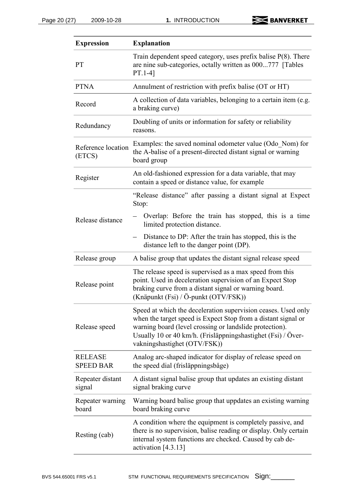| <b>Expression</b>                  | <b>Explanation</b>                                                                                                                                                                                                                                                                          |
|------------------------------------|---------------------------------------------------------------------------------------------------------------------------------------------------------------------------------------------------------------------------------------------------------------------------------------------|
| <b>PT</b>                          | Train dependent speed category, uses prefix balise $P(8)$ . There<br>are nine sub-categories, octally written as 000777 [Tables<br>$PT.1-4$ ]                                                                                                                                               |
| <b>PTNA</b>                        | Annulment of restriction with prefix balise (OT or HT)                                                                                                                                                                                                                                      |
| Record                             | A collection of data variables, belonging to a certain item (e.g.<br>a braking curve)                                                                                                                                                                                                       |
| Redundancy                         | Doubling of units or information for safety or reliability<br>reasons.                                                                                                                                                                                                                      |
| Reference location<br>(ETCS)       | Examples: the saved nominal odometer value (Odo_Nom) for<br>the A-balise of a present-directed distant signal or warning<br>board group                                                                                                                                                     |
| Register                           | An old-fashioned expression for a data variable, that may<br>contain a speed or distance value, for example                                                                                                                                                                                 |
|                                    | "Release distance" after passing a distant signal at Expect<br>Stop:                                                                                                                                                                                                                        |
| Release distance                   | Overlap: Before the train has stopped, this is a time<br>limited protection distance.                                                                                                                                                                                                       |
|                                    | Distance to DP: After the train has stopped, this is the<br>distance left to the danger point (DP).                                                                                                                                                                                         |
| Release group                      | A balise group that updates the distant signal release speed                                                                                                                                                                                                                                |
| Release point                      | The release speed is supervised as a max speed from this<br>point. Used in deceleration supervision of an Expect Stop<br>braking curve from a distant signal or warning board.<br>(Knäpunkt (Fsi) / Ö-punkt (OTV/FSK))                                                                      |
| Release speed                      | Speed at which the deceleration supervision ceases. Used only<br>when the target speed is Expect Stop from a distant signal or<br>warning board (level crossing or landslide protection).<br>Usually 10 or 40 km/h. (Frisläppningshastighet $(Fsi) / Over-$<br>vakningshastighet (OTV/FSK)) |
| <b>RELEASE</b><br><b>SPEED BAR</b> | Analog arc-shaped indicator for display of release speed on<br>the speed dial (frisläppningsbåge)                                                                                                                                                                                           |
| Repeater distant<br>signal         | A distant signal balise group that updates an existing distant<br>signal braking curve                                                                                                                                                                                                      |
| Repeater warning<br>board          | Warning board balise group that uppdates an existing warning<br>board braking curve                                                                                                                                                                                                         |
| Resting (cab)                      | A condition where the equipment is completely passive, and<br>there is no supervision, balise reading or display. Only certain<br>internal system functions are checked. Caused by cab de-<br>activation $[4.3.13]$                                                                         |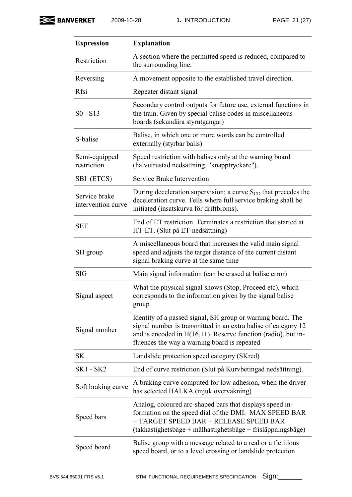| <b>Expression</b>                   | <b>Explanation</b>                                                                                                                                                                                                                                |
|-------------------------------------|---------------------------------------------------------------------------------------------------------------------------------------------------------------------------------------------------------------------------------------------------|
| Restriction                         | A section where the permitted speed is reduced, compared to<br>the surrounding line.                                                                                                                                                              |
| Reversing                           | A movement opposite to the established travel direction.                                                                                                                                                                                          |
| Rfsi                                | Repeater distant signal                                                                                                                                                                                                                           |
| $S_0 - S_1$                         | Secondary control outputs for future use, external functions in<br>the train. Given by special balise codes in miscellaneous<br>boards (sekundära styrutgångar)                                                                                   |
| S-balise                            | Balise, in which one or more words can be controlled<br>externally (styrbar balis)                                                                                                                                                                |
| Semi-equipped<br>restriction        | Speed restriction with balises only at the warning board<br>(halvutrustad nedsättning, "knapptryckare").                                                                                                                                          |
| SBI (ETCS)                          | Service Brake Intervention                                                                                                                                                                                                                        |
| Service brake<br>intervention curve | During deceleration supervision: a curve $SCD$ that precedes the<br>deceleration curve. Tells where full service braking shall be<br>initiated (insatskurva för driftbroms).                                                                      |
| <b>SET</b>                          | End of ET restriction. Terminates a restriction that started at<br>HT-ET. (Slut på ET-nedsättning)                                                                                                                                                |
| SH group                            | A miscellaneous board that increases the valid main signal<br>speed and adjusts the target distance of the current distant<br>signal braking curve at the same time                                                                               |
| <b>SIG</b>                          | Main signal information (can be erased at balise error)                                                                                                                                                                                           |
| Signal aspect                       | What the physical signal shows (Stop, Proceed etc), which<br>corresponds to the information given by the signal balise<br>group                                                                                                                   |
| Signal number                       | Identity of a passed signal, SH group or warning board. The<br>signal number is transmitted in an extra balise of category 12<br>and is encoded in $H(16,11)$ . Reserve function (radio), but in-<br>fluences the way a warning board is repeated |
| <b>SK</b>                           | Landslide protection speed category (SKred)                                                                                                                                                                                                       |
| <b>SK1 - SK2</b>                    | End of curve restriction (Slut på Kurvbetingad nedsättning).                                                                                                                                                                                      |
| Soft braking curve                  | A braking curve computed for low adhesion, when the driver<br>has selected HALKA (mjuk övervakning)                                                                                                                                               |
| Speed bars                          | Analog, coloured arc-shaped bars that displays speed in-<br>formation on the speed dial of the DMI: MAX SPEED BAR<br>+ TARGET SPEED BAR + RELEASE SPEED BAR<br>(takhastighetsbåge + målhastighetsbåge + frisläppningsbåge)                        |
| Speed board                         | Balise group with a message related to a real or a fictitious<br>speed board, or to a level crossing or landslide protection                                                                                                                      |
|                                     |                                                                                                                                                                                                                                                   |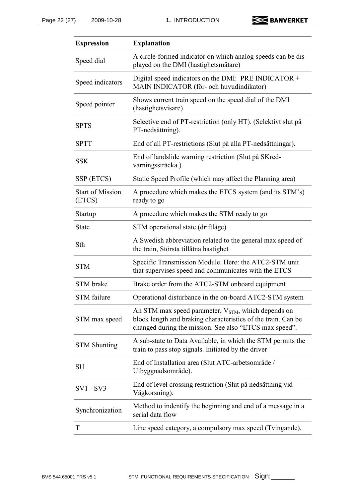| <b>Expression</b>                 | <b>Explanation</b>                                                                                                                                                                  |
|-----------------------------------|-------------------------------------------------------------------------------------------------------------------------------------------------------------------------------------|
| Speed dial                        | A circle-formed indicator on which analog speeds can be dis-<br>played on the DMI (hastighetsmätare)                                                                                |
| Speed indicators                  | Digital speed indicators on the DMI: PRE INDICATOR $+$<br>MAIN INDICATOR (för- och huvudindikator)                                                                                  |
| Speed pointer                     | Shows current train speed on the speed dial of the DMI<br>(hastighetsvisare)                                                                                                        |
| <b>SPTS</b>                       | Selective end of PT-restriction (only HT). (Selektivt slut på<br>PT-nedsättning).                                                                                                   |
| <b>SPTT</b>                       | End of all PT-restrictions (Slut på alla PT-nedsättningar).                                                                                                                         |
| <b>SSK</b>                        | End of landslide warning restriction (Slut på SKred-<br>varningssträcka.)                                                                                                           |
| SSP (ETCS)                        | Static Speed Profile (which may affect the Planning area)                                                                                                                           |
| <b>Start of Mission</b><br>(ETCS) | A procedure which makes the ETCS system (and its STM's)<br>ready to go                                                                                                              |
| Startup                           | A procedure which makes the STM ready to go                                                                                                                                         |
| <b>State</b>                      | STM operational state (driftläge)                                                                                                                                                   |
| Sth                               | A Swedish abbreviation related to the general max speed of<br>the train, Största tillåtna hastighet                                                                                 |
| <b>STM</b>                        | Specific Transmission Module. Here: the ATC2-STM unit<br>that supervises speed and communicates with the ETCS                                                                       |
| <b>STM</b> brake                  | Brake order from the ATC2-STM onboard equipment                                                                                                                                     |
| <b>STM</b> failure                | Operational disturbance in the on-board ATC2-STM system                                                                                                                             |
| STM max speed                     | An STM max speed parameter, $V_{STM}$ , which depends on<br>block length and braking characteristics of the train. Can be<br>changed during the mission. See also "ETCS max speed". |
| <b>STM Shunting</b>               | A sub-state to Data Available, in which the STM permits the<br>train to pass stop signals. Initiated by the driver                                                                  |
| <b>SU</b>                         | End of Installation area (Slut ATC-arbetsområde /<br>Utbyggnadsområde).                                                                                                             |
| SV1 - SV3                         | End of level crossing restriction (Slut på nedsättning vid<br>Vägkorsning).                                                                                                         |
| Synchronization                   | Method to indentify the beginning and end of a message in a<br>serial data flow                                                                                                     |
| T                                 | Line speed category, a compulsory max speed (Tvingande).                                                                                                                            |
|                                   |                                                                                                                                                                                     |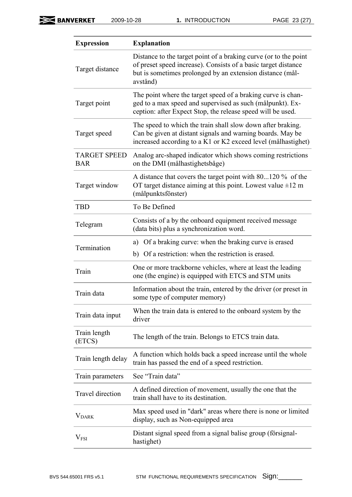| <b>Expression</b>                 | <b>Explanation</b>                                                                                                                                                                                          |
|-----------------------------------|-------------------------------------------------------------------------------------------------------------------------------------------------------------------------------------------------------------|
| Target distance                   | Distance to the target point of a braking curve (or to the point<br>of preset speed increase). Consists of a basic target distance<br>but is sometimes prolonged by an extension distance (mål-<br>avstånd) |
| Target point                      | The point where the target speed of a braking curve is chan-<br>ged to a max speed and supervised as such (målpunkt). Ex-<br>ception: after Expect Stop, the release speed will be used.                    |
| Target speed                      | The speed to which the train shall slow down after braking.<br>Can be given at distant signals and warning boards. May be<br>increased according to a K1 or K2 exceed level (målhastighet)                  |
| <b>TARGET SPEED</b><br><b>BAR</b> | Analog arc-shaped indicator which shows coming restrictions<br>on the DMI (målhastighetsbåge)                                                                                                               |
| Target window                     | A distance that covers the target point with 80120 % of the<br>OT target distance aiming at this point. Lowest value $\pm 12$ m<br>(målpunktsfönster)                                                       |
| <b>TBD</b>                        | To Be Defined                                                                                                                                                                                               |
| Telegram                          | Consists of a by the onboard equipment received message<br>(data bits) plus a synchronization word.                                                                                                         |
| Termination                       | a) Of a braking curve: when the braking curve is erased                                                                                                                                                     |
|                                   | b) Of a restriction: when the restriction is erased.                                                                                                                                                        |
| Train                             | One or more trackborne vehicles, where at least the leading<br>one (the engine) is equipped with ETCS and STM units                                                                                         |
| Train data                        | Information about the train, entered by the driver (or preset in<br>some type of computer memory)                                                                                                           |
| Train data input                  | When the train data is entered to the onboard system by the<br>driver                                                                                                                                       |
| Train length<br>(ETCS)            | The length of the train. Belongs to ETCS train data.                                                                                                                                                        |
| Train length delay                | A function which holds back a speed increase until the whole<br>train has passed the end of a speed restriction.                                                                                            |
| Train parameters                  | See "Train data"                                                                                                                                                                                            |
| Travel direction                  | A defined direction of movement, usually the one that the<br>train shall have to its destination.                                                                                                           |
| $\rm V_{DARK}$                    | Max speed used in "dark" areas where there is none or limited<br>display, such as Non-equipped area                                                                                                         |
| $\rm V_{FSI}$                     | Distant signal speed from a signal balise group (for signal-<br>hastighet)                                                                                                                                  |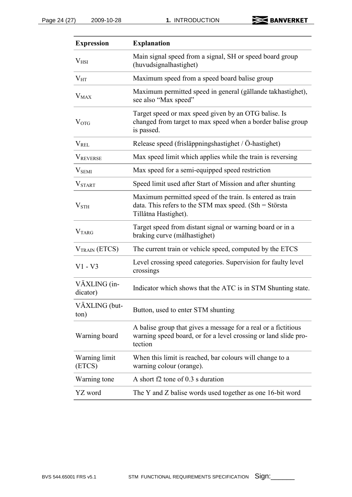| <b>Expression</b>        | <b>Explanation</b>                                                                                                                             |
|--------------------------|------------------------------------------------------------------------------------------------------------------------------------------------|
| $\rm V_{HSI}$            | Main signal speed from a signal, SH or speed board group<br>(huvudsignalhastighet)                                                             |
| $\rm V_{HT}$             | Maximum speed from a speed board balise group                                                                                                  |
| $V_{MAX}$                | Maximum permitted speed in general (gällande takhastighet),<br>see also "Max speed"                                                            |
| V <sub>OTG</sub>         | Target speed or max speed given by an OTG balise. Is<br>changed from target to max speed when a border balise group<br>is passed.              |
| $\rm V_{REL}$            | Release speed (frisläppningshastighet / Ö-hastighet)                                                                                           |
| $\rm V_{REVERSE}$        | Max speed limit which applies while the train is reversing                                                                                     |
| V <sub>SEMI</sub>        | Max speed for a semi-equipped speed restriction                                                                                                |
| $\rm{V}_{\rm{STAT}}$     | Speed limit used after Start of Mission and after shunting                                                                                     |
| $\rm{V}_{\rm{STH}}$      | Maximum permitted speed of the train. Is entered as train<br>data. This refers to the STM max speed. $(Sth = Största)$<br>Tillåtna Hastighet). |
| V <sub>TARG</sub>        | Target speed from distant signal or warning board or in a<br>braking curve (målhastighet)                                                      |
| V <sub>TRAN</sub> (ETCS) | The current train or vehicle speed, computed by the ETCS                                                                                       |
| $V1 - V3$                | Level crossing speed categories. Supervision for faulty level<br>crossings                                                                     |
| VÄXLING (in-<br>dicator) | Indicator which shows that the ATC is in STM Shunting state.                                                                                   |
| VÄXLING (but-<br>ton)    | Button, used to enter STM shunting                                                                                                             |
| Warning board            | A balise group that gives a message for a real or a fictitious<br>warning speed board, or for a level crossing or land slide pro-<br>tection   |
| Warning limit<br>(ETCS)  | When this limit is reached, bar colours will change to a<br>warning colour (orange).                                                           |
| Warning tone             | A short f2 tone of 0.3 s duration                                                                                                              |
| YZ word                  | The Y and Z balise words used together as one 16-bit word                                                                                      |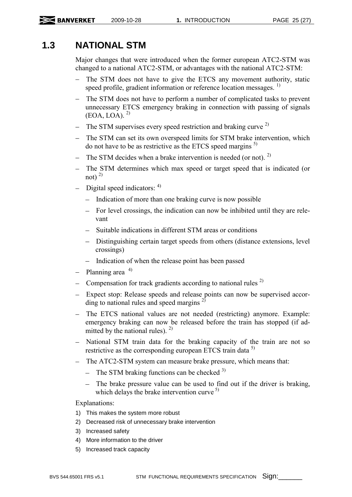# <span id="page-24-0"></span>**1.3 NATIONAL STM**

Major changes that were introduced when the former european ATC2-STM was changed to a national ATC2-STM, or advantages with the national ATC2-STM:

- The STM does not have to give the ETCS any movement authority, static speed profile, gradient information or reference location messages.<sup>1)</sup>
- The STM does not have to perform a number of complicated tasks to prevent unnecessary ETCS emergency braking in connection with passing of signals  $(EOA, LOA)$ . <sup>2)</sup>
- The STM supervises every speed restriction and braking curve  $^{2)}$
- The STM can set its own overspeed limits for STM brake intervention, which do not have to be as restrictive as the ETCS speed margins  $5$
- The STM decides when a brake intervention is needed (or not).  $2^{2}$
- The STM determines which max speed or target speed that is indicated (or not) $^{2)}$
- Digital speed indicators:  $4$ )
	- Indication of more than one braking curve is now possible
	- For level crossings, the indication can now be inhibited until they are relevant
	- Suitable indications in different STM areas or conditions
	- Distinguishing certain target speeds from others (distance extensions, level crossings)
	- Indication of when the release point has been passed
- Planning area  $4$ )
- Compensation for track gradients according to national rules  $2$ )
- Expect stop: Release speeds and release points can now be supervised according to national rules and speed margins  $^{2}$
- The ETCS national values are not needed (restricting) anymore. Example: emergency braking can now be released before the train has stopped (if admitted by the national rules).  $^{2)}$
- National STM train data for the braking capacity of the train are not so restrictive as the corresponding european ETCS train data<sup>5)</sup>
- The ATC2-STM system can measure brake pressure, which means that:
	- $\blacksquare$  The STM braking functions can be checked  $\lambda$
	- The brake pressure value can be used to find out if the driver is braking, which delays the brake intervention curve  $5$ )

Explanations:

- 1) This makes the system more robust
- 2) Decreased risk of unnecessary brake intervention
- 3) Increased safety
- 4) More information to the driver
- 5) Increased track capacity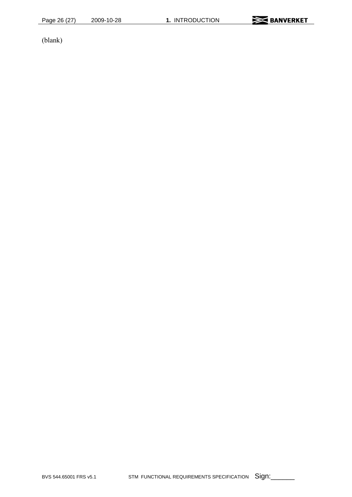

(blank)